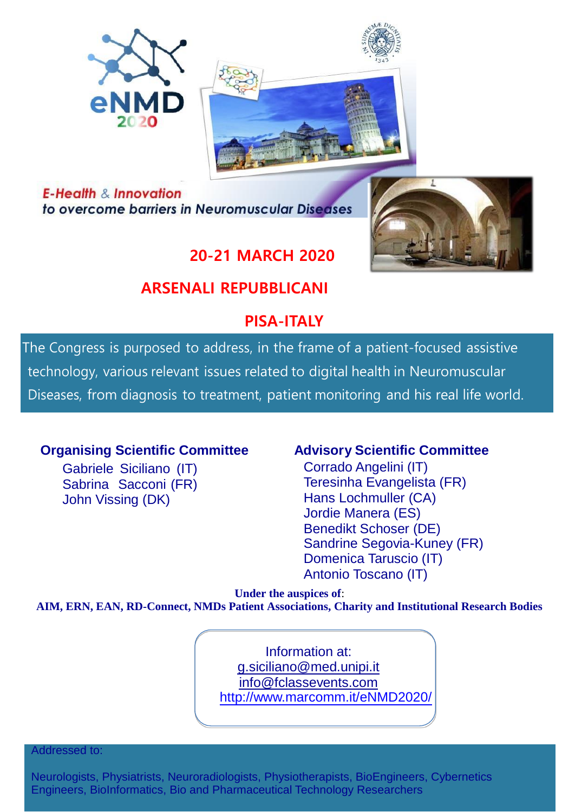



**E-Health & Innovation** to overcome barriers in Neuromuscular Diseases

# **20-21 MARCH 2020**

# **ARSENALI REPUBBLICANI**

# **PISA-ITALY**

The Congress is purposed to address, in the frame of a patient-focused assistive technology, various relevant issues related to digital health in Neuromuscular Diseases, from diagnosis to treatment, patient monitoring and his real life world.

## **Organising Scientific Committee Advisory Scientific Committee**

Gabriele Siciliano (IT) Sabrina Sacconi (FR) John Vissing (DK)

Corrado Angelini (IT) Teresinha Evangelista (FR) Hans Lochmuller (CA) Jordie Manera (ES) Benedikt Schoser (DE) Sandrine Segovia-Kuney (FR) Domenica Taruscio (IT) Antonio Toscano (IT)

**Under the auspices of**:

**AIM, ERN, EAN, RD-Connect, NMDs Patient Associations, Charity and Institutional Research Bodies**

Information at[:](mailto:g.siciliano@med.unipi.it) [g.siciliano@med.unipi.it](mailto:g.siciliano@med.unipi.it) [info@fclassevents.co](mailto:info@fclassevents.com)m http:/[/www.marcomm.it/eNMD2020/](http://www.marcomm.it/eNMD2020)

Addressed to:

Neurologists, Physiatrists, Neuroradiologists, Physiotherapists, BioEngineers, Cybernetics Engineers, BioInformatics, Bio and Pharmaceutical Technology Researchers